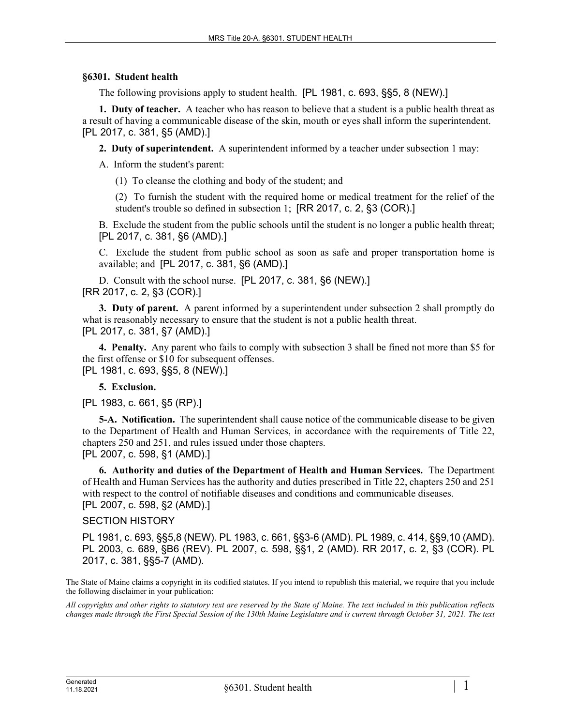## **§6301. Student health**

The following provisions apply to student health. [PL 1981, c. 693, §§5, 8 (NEW).]

**1. Duty of teacher.** A teacher who has reason to believe that a student is a public health threat as a result of having a communicable disease of the skin, mouth or eyes shall inform the superintendent. [PL 2017, c. 381, §5 (AMD).]

**2. Duty of superintendent.** A superintendent informed by a teacher under subsection 1 may:

A. Inform the student's parent:

(1) To cleanse the clothing and body of the student; and

(2) To furnish the student with the required home or medical treatment for the relief of the student's trouble so defined in subsection 1; [RR 2017, c. 2, §3 (COR).]

B. Exclude the student from the public schools until the student is no longer a public health threat; [PL 2017, c. 381, §6 (AMD).]

C. Exclude the student from public school as soon as safe and proper transportation home is available; and [PL 2017, c. 381, §6 (AMD).]

D. Consult with the school nurse. [PL 2017, c. 381, §6 (NEW).] [RR 2017, c. 2, §3 (COR).]

**3. Duty of parent.** A parent informed by a superintendent under subsection 2 shall promptly do what is reasonably necessary to ensure that the student is not a public health threat. [PL 2017, c. 381, §7 (AMD).]

**4. Penalty.** Any parent who fails to comply with subsection 3 shall be fined not more than \$5 for the first offense or \$10 for subsequent offenses. [PL 1981, c. 693, §§5, 8 (NEW).]

## **5. Exclusion.**

[PL 1983, c. 661, §5 (RP).]

**5-A. Notification.** The superintendent shall cause notice of the communicable disease to be given to the Department of Health and Human Services, in accordance with the requirements of Title 22, chapters 250 and 251, and rules issued under those chapters. [PL 2007, c. 598, §1 (AMD).]

**6. Authority and duties of the Department of Health and Human Services.** The Department of Health and Human Services has the authority and duties prescribed in Title 22, chapters 250 and 251 with respect to the control of notifiable diseases and conditions and communicable diseases. [PL 2007, c. 598, §2 (AMD).]

## SECTION HISTORY

PL 1981, c. 693, §§5,8 (NEW). PL 1983, c. 661, §§3-6 (AMD). PL 1989, c. 414, §§9,10 (AMD). PL 2003, c. 689, §B6 (REV). PL 2007, c. 598, §§1, 2 (AMD). RR 2017, c. 2, §3 (COR). PL 2017, c. 381, §§5-7 (AMD).

The State of Maine claims a copyright in its codified statutes. If you intend to republish this material, we require that you include the following disclaimer in your publication:

*All copyrights and other rights to statutory text are reserved by the State of Maine. The text included in this publication reflects changes made through the First Special Session of the 130th Maine Legislature and is current through October 31, 2021. The text*